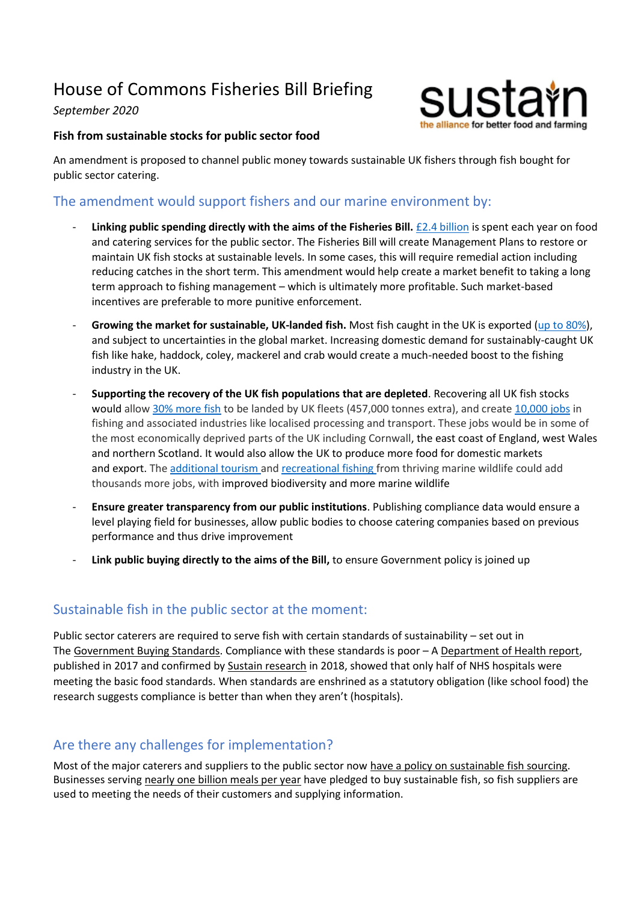# House of Commons Fisheries Bill Briefing

#### *September 2020*



#### **Fish from sustainable stocks for public sector food**

An amendment is proposed to channel public money towards sustainable UK fishers through fish bought for public sector catering.

### The amendment would support fishers and our marine environment by:

- **Linking public spending directly with the aims of the Fisheries Bill.** [£2.4 billion](https://assets.publishing.service.gov.uk/government/uploads/system/uploads/attachment_data/file/332756/food-plan-july-2014.pdf) is spent each year on food and catering services for the public sector. The Fisheries Bill will create Management Plans to restore or maintain UK fish stocks at sustainable levels. In some cases, this will require remedial action including reducing catches in the short term. This amendment would help create a market benefit to taking a long term approach to fishing management – which is ultimately more profitable. Such market-based incentives are preferable to more punitive enforcement.
- Growing the market for sustainable, UK-landed fish. Most fish caught in the UK is exported [\(up to 80%\)](https://publications.parliament.uk/pa/ld201617/ldselect/ldeucom/78/7811.htm), and subject to uncertainties in the global market. Increasing domestic demand for sustainably-caught UK fish like hake, haddock, coley, mackerel and crab would create a much-needed boost to the fishing industry in the UK.
- **Supporting the recovery of the UK fish populations that are depleted**. Recovering all UK fish stocks would allow [30% more fish](https://eu.oceana.org/en/press-center/press-releases/transition-sustainable-fishing-could-land-uk-nearly-30-more-fish) to be landed by UK fleets (457,000 tonnes extra), and create [10,000 jobs](https://b.3cdn.net/nefoundation/e966d4ce355b7485c1_a7m6brn5t.pdf) in fishing and associated industries like localised processing and transport. These jobs would be in some of the most economically deprived parts of the UK including Cornwall, the east coast of England, west Wales and northern Scotland. It would also allow the UK to produce more food for domestic markets and export. The [additional tourism](https://neweconomics.org/uploads/files/NEF-Blue-New-Deal-AP-HighRes.pdf) and [recreational fishing](http://data.parliament.uk/WrittenEvidence/CommitteeEvidence.svc/EvidenceDocument/Environment,%20Food%20and%20Rural%20Affairs/Scrutiny%20of%20the%20Fisheries%20Bill/Written/93047.html) from thriving marine wildlife could add thousands more jobs, with improved biodiversity and more marine wildlife
- **Ensure greater transparency from our public institutions**. Publishing compliance data would ensure a level playing field for businesses, allow public bodies to choose catering companies based on previous performance and thus drive improvement
- **Link public buying directly to the aims of the Bill,** to ensure Government policy is joined up

## Sustainable fish in the public sector at the moment:

Public sector caterers are required to serve fish with certain standards of sustainability – set out in The [Government Buying Standards.](https://www.gov.uk/government/news/let-them-eat-hake-government-takes-lead-in-buying-sustainable-fish) Compliance with these standards is poor – A [Department of Health report,](https://assets.publishing.service.gov.uk/government/uploads/system/uploads/attachment_data/file/586491/DH_Hospital_Food_Infographic.pdf) published in 2017 and confirmed by [Sustain research](https://www.sustainweb.org/news/mar17_taking_the_pulse_of_hospital_food/) in 2018, showed that only half of NHS hospitals were meeting the basic food standards. When standards are enshrined as a statutory obligation (like school food) the research suggests compliance is better than when they aren't (hospitals).

# Are there any challenges for implementation?

Most of the major caterers and suppliers to the public sector now [have a policy on sustainable fish sourcing.](https://www.sustainweb.org/sustainablefishcity/achievements/) Businesses serving [nearly one billion meals per year](https://www.sustainweb.org/sustainablefishcity/whos_working_on_it/) have pledged to buy sustainable fish, so fish suppliers are used to meeting the needs of their customers and supplying information.